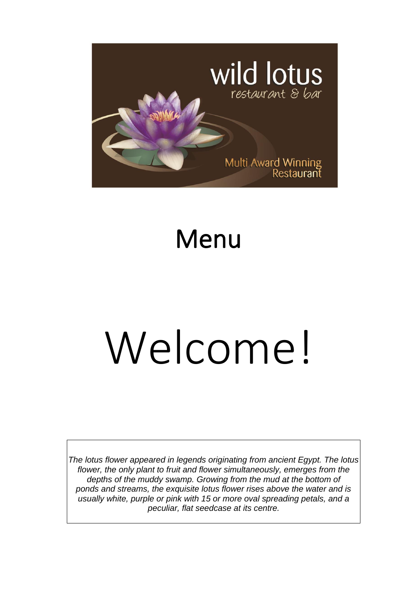

## Menu

# Welcome!

*The lotus flower appeared in legends originating from ancient Egypt. The lotus flower, the only plant to fruit and flower simultaneously, emerges from the depths of the muddy swamp. Growing from the mud at the bottom of ponds and streams, the exquisite lotus flower rises above the water and is usually white, purple or pink with 15 or more oval spreading petals, and a peculiar, flat seedcase at its centre.*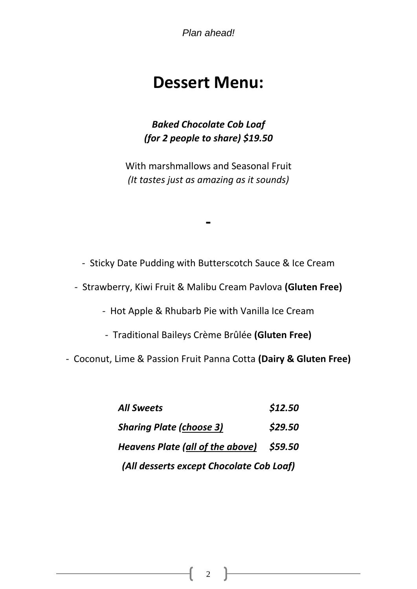*Plan ahead!*

### **Dessert Menu:**

*Baked Chocolate Cob Loaf (for 2 people to share) \$19.50*

With marshmallows and Seasonal Fruit *(It tastes just as amazing as it sounds)*

- Sticky Date Pudding with Butterscotch Sauce & Ice Cream

**-**

- Strawberry, Kiwi Fruit & Malibu Cream Pavlova **(Gluten Free)**

- Hot Apple & Rhubarb Pie with Vanilla Ice Cream

- Traditional Baileys Crème Brûlée **(Gluten Free)**

- Coconut, Lime & Passion Fruit Panna Cotta **(Dairy & Gluten Free)**

*All Sweets \$12.50 Sharing Plate (choose 3) \$29.50 Heavens Plate (all of the above) \$59.50 (All desserts except Chocolate Cob Loaf)* 

2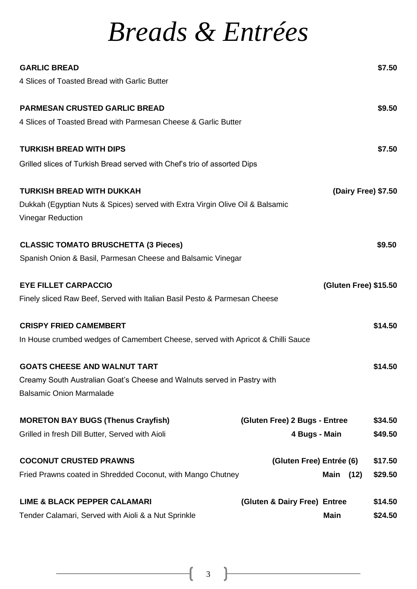### *Breads & Entrées*

| <b>GARLIC BREAD</b>                                                                                        |                               |                       | \$7.50  |
|------------------------------------------------------------------------------------------------------------|-------------------------------|-----------------------|---------|
| 4 Slices of Toasted Bread with Garlic Butter                                                               |                               |                       |         |
| <b>PARMESAN CRUSTED GARLIC BREAD</b>                                                                       |                               |                       | \$9.50  |
| 4 Slices of Toasted Bread with Parmesan Cheese & Garlic Butter                                             |                               |                       |         |
| <b>TURKISH BREAD WITH DIPS</b>                                                                             |                               |                       | \$7.50  |
| Grilled slices of Turkish Bread served with Chef's trio of assorted Dips                                   |                               |                       |         |
| <b>TURKISH BREAD WITH DUKKAH</b>                                                                           |                               | (Dairy Free) \$7.50   |         |
| Dukkah (Egyptian Nuts & Spices) served with Extra Virgin Olive Oil & Balsamic<br><b>Vinegar Reduction</b>  |                               |                       |         |
|                                                                                                            |                               |                       |         |
| <b>CLASSIC TOMATO BRUSCHETTA (3 Pieces)</b>                                                                |                               |                       | \$9.50  |
| Spanish Onion & Basil, Parmesan Cheese and Balsamic Vinegar                                                |                               |                       |         |
| <b>EYE FILLET CARPACCIO</b>                                                                                |                               | (Gluten Free) \$15.50 |         |
| Finely sliced Raw Beef, Served with Italian Basil Pesto & Parmesan Cheese                                  |                               |                       |         |
| <b>CRISPY FRIED CAMEMBERT</b>                                                                              |                               |                       | \$14.50 |
| In House crumbed wedges of Camembert Cheese, served with Apricot & Chilli Sauce                            |                               |                       |         |
| <b>GOATS CHEESE AND WALNUT TART</b>                                                                        |                               |                       | \$14.50 |
| Creamy South Australian Goat's Cheese and Walnuts served in Pastry with<br><b>Balsamic Onion Marmalade</b> |                               |                       |         |
| <b>MORETON BAY BUGS (Thenus Crayfish)</b>                                                                  | (Gluten Free) 2 Bugs - Entree |                       | \$34.50 |
| Grilled in fresh Dill Butter, Served with Aioli                                                            | 4 Bugs - Main                 |                       | \$49.50 |
| <b>COCONUT CRUSTED PRAWNS</b>                                                                              | (Gluten Free) Entrée (6)      |                       | \$17.50 |
| Fried Prawns coated in Shredded Coconut, with Mango Chutney                                                |                               | Main<br>(12)          | \$29.50 |
| <b>LIME &amp; BLACK PEPPER CALAMARI</b>                                                                    | (Gluten & Dairy Free) Entree  |                       | \$14.50 |
| Tender Calamari, Served with Aioli & a Nut Sprinkle                                                        |                               | <b>Main</b>           | \$24.50 |

3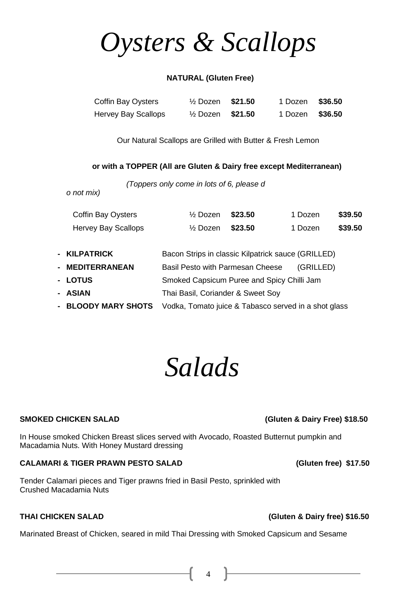*Salads* 

In House smoked Chicken Breast slices served with Avocado, Roasted Butternut pumpkin and Macadamia Nuts. With Honey Mustard dressing

#### **CALAMARI & TIGER PRAWN PESTO SALAD (Gluten free) \$17.50**

Tender Calamari pieces and Tiger prawns fried in Basil Pesto, sprinkled with Crushed Macadamia Nuts

Marinated Breast of Chicken, seared in mild Thai Dressing with Smoked Capsicum and Sesame

#### **NATURAL (Gluten Free)**

*Oysters & Scallops* 

| Coffin Bay Oysters         | $\frac{1}{2}$ Dozen \$21.50 | 1 Dozen \$36.50 |  |
|----------------------------|-----------------------------|-----------------|--|
| <b>Hervey Bay Scallops</b> | $\frac{1}{2}$ Dozen \$21.50 | 1 Dozen \$36.50 |  |

Our Natural Scallops are Grilled with Butter & Fresh Lemon

#### **or with a TOPPER (All are Gluten & Dairy free except Mediterranean)**

*(Toppers only come in lots of 6, please d*

| o not mix) |  |  |  |
|------------|--|--|--|
|------------|--|--|--|

| <b>Coffin Bay Oysters</b>      | $\frac{1}{2}$ Dozen                                  | \$23.50 | 1 Dozen   | \$39.50 |
|--------------------------------|------------------------------------------------------|---------|-----------|---------|
| <b>Hervey Bay Scallops</b>     | $\frac{1}{2}$ Dozen                                  | \$23.50 | 1 Dozen   | \$39.50 |
|                                |                                                      |         |           |         |
| - KILPATRICK                   | Bacon Strips in classic Kilpatrick sauce (GRILLED)   |         |           |         |
| - MEDITERRANEAN                | Basil Pesto with Parmesan Cheese                     |         | (GRILLED) |         |
| - LOTUS                        | Smoked Capsicum Puree and Spicy Chilli Jam           |         |           |         |
| - ASIAN                        | Thai Basil, Coriander & Sweet Soy                    |         |           |         |
| <b>BLOODY MARY SHOTS</b><br>Ξ. | Vodka, Tomato juice & Tabasco served in a shot glass |         |           |         |

#### **SMOKED CHICKEN SALAD (Gluten & Dairy Free) \$18.50**

#### **THAI CHICKEN SALAD (Gluten & Dairy free) \$16.50**

14 **F**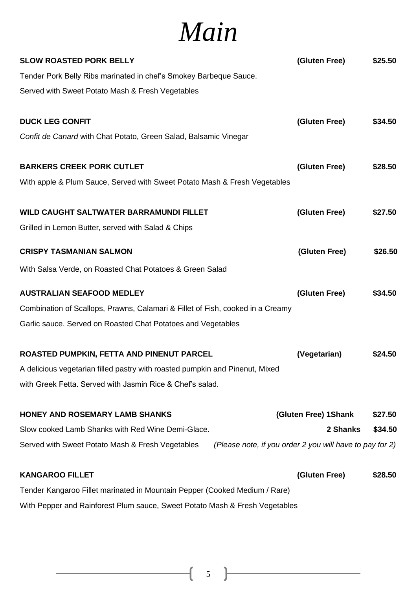### *Main*

| <b>SLOW ROASTED PORK BELLY</b>                                                                               | (Gluten Free)        | \$25.50 |
|--------------------------------------------------------------------------------------------------------------|----------------------|---------|
| Tender Pork Belly Ribs marinated in chef's Smokey Barbeque Sauce.                                            |                      |         |
| Served with Sweet Potato Mash & Fresh Vegetables                                                             |                      |         |
| <b>DUCK LEG CONFIT</b>                                                                                       | (Gluten Free)        | \$34.50 |
| Confit de Canard with Chat Potato, Green Salad, Balsamic Vinegar                                             |                      |         |
| <b>BARKERS CREEK PORK CUTLET</b>                                                                             | (Gluten Free)        | \$28.50 |
| With apple & Plum Sauce, Served with Sweet Potato Mash & Fresh Vegetables                                    |                      |         |
| WILD CAUGHT SALTWATER BARRAMUNDI FILLET                                                                      | (Gluten Free)        | \$27.50 |
| Grilled in Lemon Butter, served with Salad & Chips                                                           |                      |         |
| <b>CRISPY TASMANIAN SALMON</b>                                                                               | (Gluten Free)        | \$26.50 |
| With Salsa Verde, on Roasted Chat Potatoes & Green Salad                                                     |                      |         |
| <b>AUSTRALIAN SEAFOOD MEDLEY</b>                                                                             | (Gluten Free)        | \$34.50 |
| Combination of Scallops, Prawns, Calamari & Fillet of Fish, cooked in a Creamy                               |                      |         |
| Garlic sauce. Served on Roasted Chat Potatoes and Vegetables                                                 |                      |         |
| ROASTED PUMPKIN, FETTA AND PINENUT PARCEL                                                                    | (Vegetarian)         | \$24.50 |
| A delicious vegetarian filled pastry with roasted pumpkin and Pinenut, Mixed                                 |                      |         |
| with Greek Fetta. Served with Jasmin Rice & Chef's salad.                                                    |                      |         |
| HONEY AND ROSEMARY LAMB SHANKS                                                                               | (Gluten Free) 1Shank | \$27.50 |
| Slow cooked Lamb Shanks with Red Wine Demi-Glace.                                                            | 2 Shanks             | \$34.50 |
| Served with Sweet Potato Mash & Fresh Vegetables<br>(Please note, if you order 2 you will have to pay for 2) |                      |         |
| <b>KANGAROO FILLET</b>                                                                                       | (Gluten Free)        | \$28.50 |
| Tender Kangaroo Fillet marinated in Mountain Pepper (Cooked Medium / Rare)                                   |                      |         |
| With Pepper and Rainforest Plum sauce, Sweet Potato Mash & Fresh Vegetables                                  |                      |         |

 $\begin{pmatrix} 5 \end{pmatrix}$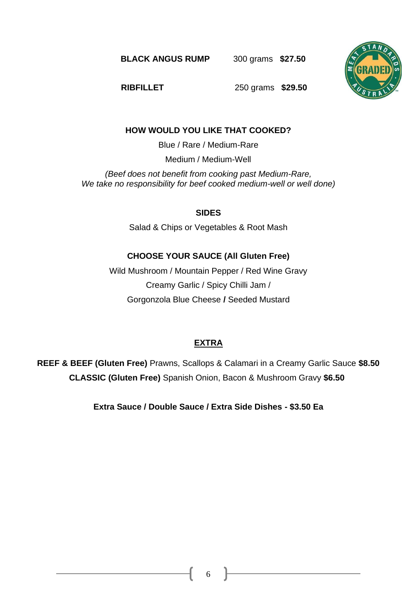**BLACK ANGUS RUMP** 300 grams **\$27.50**



**RIBFILLET** 250 grams **\$29.50** 

#### **HOW WOULD YOU LIKE THAT COOKED?**

Blue / Rare / Medium-Rare

Medium / Medium-Well

*(Beef does not benefit from cooking past Medium-Rare, We take no responsibility for beef cooked medium-well or well done)*

#### **SIDES**

Salad & Chips or Vegetables & Root Mash

#### **CHOOSE YOUR SAUCE (All Gluten Free)**

Wild Mushroom / Mountain Pepper / Red Wine Gravy Creamy Garlic / Spicy Chilli Jam / Gorgonzola Blue Cheese **/** Seeded Mustard

### **EXTRA**

**REEF & BEEF (Gluten Free)** Prawns, Scallops & Calamari in a Creamy Garlic Sauce **\$8.50 CLASSIC (Gluten Free)** Spanish Onion, Bacon & Mushroom Gravy **\$6.50**

**Extra Sauce / Double Sauce / Extra Side Dishes - \$3.50 Ea**

6